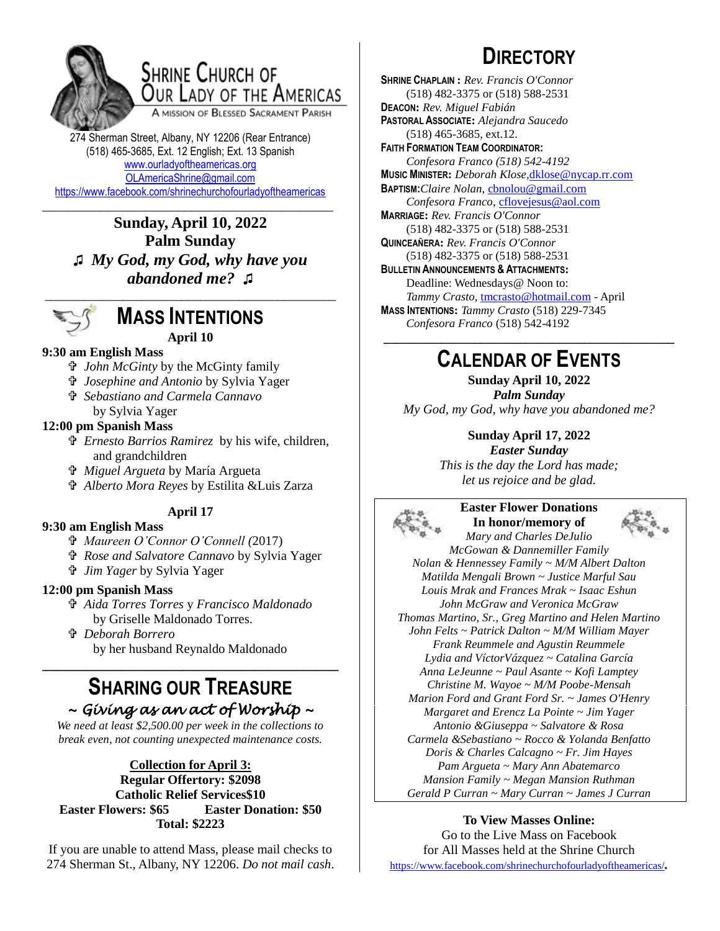

## **SHRINE CHURCH OF** OUR LADY OF THE AMERICAS

A MISSION OF BLESSED SACRAMENT PARISH

274 Sherman Street, Albany, NY 12206 (Rear Entrance) (518) 465-3685, Ext. 12 English; Ext. 13 Spanish [www.ourladyoftheamericas.org](http://www.ourladyoftheamericas.org/) [OLAmericaShrine@gmail.com](mailto:OLAmericaShrine@gmail.com) <https://www.facebook.com/shrinechurchofourladyoftheamericas>

\_\_\_\_\_\_\_\_\_\_\_\_\_\_\_\_\_\_\_\_\_\_\_\_\_\_\_\_\_\_\_\_\_\_\_\_\_\_\_\_\_\_\_\_\_ **Sunday, April 10, 2022 Palm Sunday ♫** *My God, my God, why have you abandoned me?* **♫**



### **MASS INTENTIONS April 10**

### **9:30 am English Mass**

- *John McGinty* by the McGinty family
- *Josephine and Antonio* by Sylvia Yager
- *Sebastiano and Carmela Cannavo* by Sylvia Yager

### **12:00 pm Spanish Mass**

- *Ernesto Barrios Ramirez* by his wife, children, and grandchildren
- *Miguel Argueta* by María Argueta
- *Alberto Mora Reyes* by Estilita &Luis Zarza

### **April 17**

### **9:30 am English Mass**

- *Maureen O'Connor O'Connell (*2017)
- *Rose and Salvatore Cannavo* by Sylvia Yager
- *Jim Yager* by Sylvia Yager

#### **12:00 pm Spanish Mass**

- *Aida Torres Torres* y *Francisco Maldonado* by Griselle Maldonado Torres.
- *Deborah Borrero* by her husband Reynaldo Maldonado

### **SHARING OUR TREASURE** *~ Giving as an act of Worship ~*

**\_\_\_\_\_\_\_\_\_\_\_\_\_\_\_\_\_\_\_\_\_\_\_\_\_\_\_\_\_\_\_\_\_\_\_\_\_\_\_\_\_\_**

*We need at least \$2,500.00 per week in the collections to break even, not counting unexpected maintenance costs.*

### **Collection for April 3: Regular Offertory: \$2098 Catholic Relief Services\$10 Easter Flowers: \$65 Easter Donation: \$50 Total: \$2223**

If you are unable to attend Mass, please mail checks to 274 Sherman St., Albany, NY 12206. *Do not mail cash*.

# **DIRECTORY**

**SHRINE CHAPLAIN :** *Rev. Francis O'Connor* (518) 482-3375 or (518) 588-2531 **DEACON:** *Rev. Miguel Fabián* **PASTORAL ASSOCIATE:** *Alejandra Saucedo* (518) 465-3685, ext.12. **FAITH FORMATION TEAM COORDINATOR:** *Confesora Franco (518) 542-4192* **MUSIC MINISTER:** *Deborah Klose,*[dklose@nycap.rr.com](mailto:dklose@nycap.rr.com) **BAPTISM:***Claire Nolan*, [cbnolou@gmail.com](mailto:cbnolou@gmail.com) *Confesora Franco*, [cflovejesus@aol.com](mailto:cflovejesus@aol.com) **MARRIAGE:** *Rev. Francis O'Connor* (518) 482-3375 or (518) 588-2531 **QUINCEAÑERA:** *Rev. Francis O'Connor* (518) 482-3375 or (518) 588-2531 **BULLETIN ANNOUNCEMENTS & ATTACHMENTS:** Deadline: Wednesdays@ Noon to: *Tammy Crasto,* [tmcrasto@hotmail.com](mailto:tmcrasto@hotmail.com) - April **MASS INTENTIONS:** *Tammy Crasto* (518) 229-7345 *Confesora Franco* (518) 542-4192 **\_\_\_\_\_\_\_\_\_\_\_\_\_\_\_\_\_\_\_\_\_\_\_\_\_\_\_\_\_\_\_\_\_\_\_\_\_\_\_\_\_\_\_\_\_**

## **CALENDAR OF EVENTS**

**Sunday April 10, 2022** *Palm Sunday My God, my God, why have you abandoned me?*

### **Sunday April 17, 2022**

*Easter Sunday This is the day the Lord has made; let us rejoice and be glad.*



### **Easter Flower Donations In honor/memory of**



*Mary and Charles DeJulio McGowan & Dannemiller Family Nolan & Hennessey Family ~ M/M Albert Dalton Matilda Mengali Brown ~ Justice Marful Sau Louis Mrak and Frances Mrak ~ Isaac Eshun John McGraw and Veronica McGraw Thomas Martino, Sr., Greg Martino and Helen Martino John Felts ~ Patrick Dalton ~ M/M William Mayer Frank Reummele and Agustin Reummele Lydia and VíctorVázquez ~ Catalina García Anna LeJeunne ~ Paul Asante ~ Kofi Lamptey Christine M. Wayoe ~ M/M Poobe-Mensah Marion Ford and Grant Ford Sr. ~ James O'Henry Margaret and Erencz La Pointe ~ Jim Yager Antonio &Giuseppa ~ Salvatore & Rosa Carmela &Sebastiano ~ Rocco & Yolanda Benfatto Doris & Charles Calcagno ~ Fr. Jim Hayes Pam Argueta ~ Mary Ann Abatemarco Mansion Family ~ Megan Mansion Ruthman Gerald P Curran ~ Mary Curran ~ James J Curran*

#### **To View Masses Online:**

Go to the Live Mass on Facebook for All Masses held at the Shrine Church <https://www.facebook.com/shrinechurchofourladyoftheamericas/>*.*